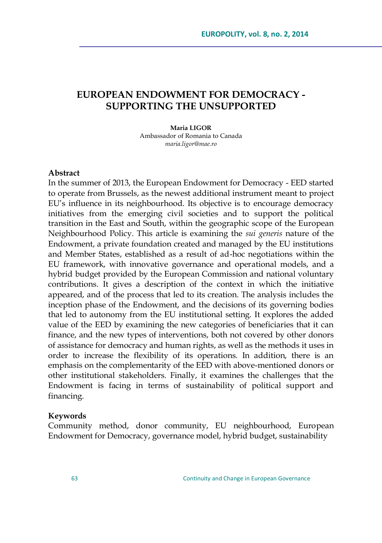# **EUROPEAN ENDOWMENT FOR DEMOCRACY - SUPPORTING THE UNSUPPORTED**

**Maria LIGOR** Ambassador of Romania to Canada *maria.ligor@mae.ro*

#### **Abstract**

In the summer of 2013, the European Endowment for Democracy - EED started to operate from Brussels, as the newest additional instrument meant to project EU's influence in its neighbourhood. Its objective is to encourage democracy initiatives from the emerging civil societies and to support the political transition in the East and South, within the geographic scope of the European Neighbourhood Policy. This article is examining the *sui generis* nature of the Endowment, a private foundation created and managed by the EU institutions and Member States, established as a result of ad-hoc negotiations within the EU framework, with innovative governance and operational models, and a hybrid budget provided by the European Commission and national voluntary contributions. It gives a description of the context in which the initiative appeared, and of the process that led to its creation. The analysis includes the inception phase of the Endowment, and the decisions of its governing bodies that led to autonomy from the EU institutional setting. It explores the added value of the EED by examining the new categories of beneficiaries that it can finance, and the new types of interventions, both not covered by other donors of assistance for democracy and human rights, as well as the methods it uses in order to increase the flexibility of its operations. In addition, there is an emphasis on the complementarity of the EED with above-mentioned donors or other institutional stakeholders. Finally, it examines the challenges that the Endowment is facing in terms of sustainability of political support and financing.

#### **Keywords**

Community method, donor community, EU neighbourhood, European Endowment for Democracy, governance model, hybrid budget, sustainability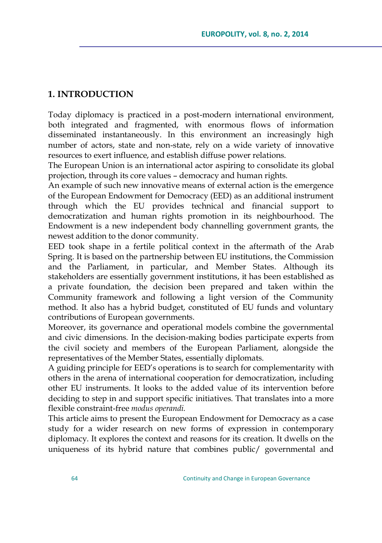### **1. INTRODUCTION**

Today diplomacy is practiced in a post-modern international environment, both integrated and fragmented, with enormous flows of information disseminated instantaneously. In this environment an increasingly high number of actors, state and non-state, rely on a wide variety of innovative resources to exert influence, and establish diffuse power relations.

The European Union is an international actor aspiring to consolidate its global projection, through its core values – democracy and human rights.

An example of such new innovative means of external action is the emergence of the European Endowment for Democracy (EED) as an additional instrument through which the EU provides technical and financial support to democratization and human rights promotion in its neighbourhood. The Endowment is a new independent body channelling government grants, the newest addition to the donor community.

EED took shape in a fertile political context in the aftermath of the Arab Spring. It is based on the partnership between EU institutions, the Commission and the Parliament, in particular, and Member States. Although its stakeholders are essentially government institutions, it has been established as a private foundation, the decision been prepared and taken within the Community framework and following a light version of the Community method. It also has a hybrid budget, constituted of EU funds and voluntary contributions of European governments.

Moreover, its governance and operational models combine the governmental and civic dimensions. In the decision-making bodies participate experts from the civil society and members of the European Parliament, alongside the representatives of the Member States, essentially diplomats.

A guiding principle for EED's operations is to search for complementarity with others in the arena of international cooperation for democratization, including other EU instruments. It looks to the added value of its intervention before deciding to step in and support specific initiatives. That translates into a more flexible constraint-free *modus operandi.* 

This article aims to present the European Endowment for Democracy as a case study for a wider research on new forms of expression in contemporary diplomacy. It explores the context and reasons for its creation. It dwells on the uniqueness of its hybrid nature that combines public/ governmental and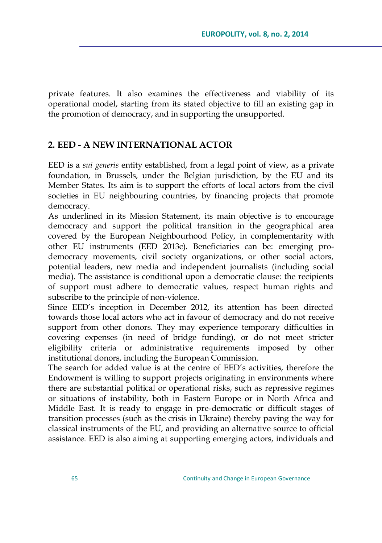private features. It also examines the effectiveness and viability of its operational model, starting from its stated objective to fill an existing gap in the promotion of democracy, and in supporting the unsupported.

#### **2. EED - A NEW INTERNATIONAL ACTOR**

EED is a *sui generis* entity established, from a legal point of view, as a private foundation, in Brussels, under the Belgian jurisdiction, by the EU and its Member States. Its aim is to support the efforts of local actors from the civil societies in EU neighbouring countries, by financing projects that promote democracy.

As underlined in its Mission Statement, its main objective is to encourage democracy and support the political transition in the geographical area covered by the European Neighbourhood Policy, in complementarity with other EU instruments (EED 2013c). Beneficiaries can be: emerging prodemocracy movements, civil society organizations, or other social actors, potential leaders, new media and independent journalists (including social media). The assistance is conditional upon a democratic clause: the recipients of support must adhere to democratic values, respect human rights and subscribe to the principle of non-violence.

Since EED's inception in December 2012, its attention has been directed towards those local actors who act in favour of democracy and do not receive support from other donors. They may experience temporary difficulties in covering expenses (in need of bridge funding), or do not meet stricter eligibility criteria or administrative requirements imposed by other institutional donors, including the European Commission.

The search for added value is at the centre of EED's activities, therefore the Endowment is willing to support projects originating in environments where there are substantial political or operational risks, such as repressive regimes or situations of instability, both in Eastern Europe or in North Africa and Middle East. It is ready to engage in pre-democratic or difficult stages of transition processes (such as the crisis in Ukraine) thereby paving the way for classical instruments of the EU, and providing an alternative source to official assistance. EED is also aiming at supporting emerging actors, individuals and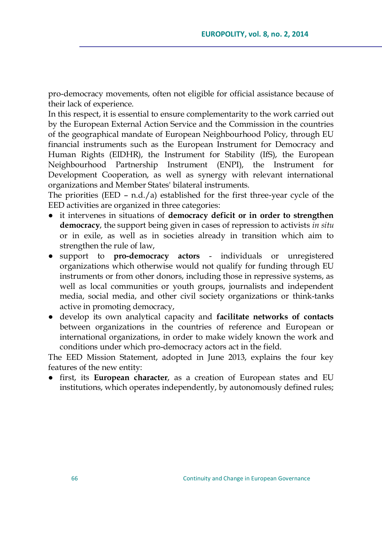pro-democracy movements, often not eligible for official assistance because of their lack of experience.

In this respect, it is essential to ensure complementarity to the work carried out by the European External Action Service and the Commission in the countries of the geographical mandate of European Neighbourhood Policy, through EU financial instruments such as the European Instrument for Democracy and Human Rights (EIDHR), the Instrument for Stability (IfS), the European Neighbourhood Partnership Instrument (ENPI), the Instrument for Development Cooperation, as well as synergy with relevant international organizations and Member States' bilateral instruments.

The priorities (EED – n.d./a) established for the first three-year cycle of the EED activities are organized in three categories:

- it intervenes in situations of **democracy deficit or in order to strengthen democracy**, the support being given in cases of repression to activists *in situ* or in exile, as well as in societies already in transition which aim to strengthen the rule of law,
- support to **pro-democracy actors**  individuals or unregistered organizations which otherwise would not qualify for funding through EU instruments or from other donors, including those in repressive systems, as well as local communities or youth groups, journalists and independent media, social media, and other civil society organizations or think-tanks active in promoting democracy,
- develop its own analytical capacity and **facilitate networks of contacts** between organizations in the countries of reference and European or international organizations, in order to make widely known the work and conditions under which pro-democracy actors act in the field.

The EED Mission Statement, adopted in June 2013, explains the four key features of the new entity:

● first, its **European character**, as a creation of European states and EU institutions, which operates independently, by autonomously defined rules;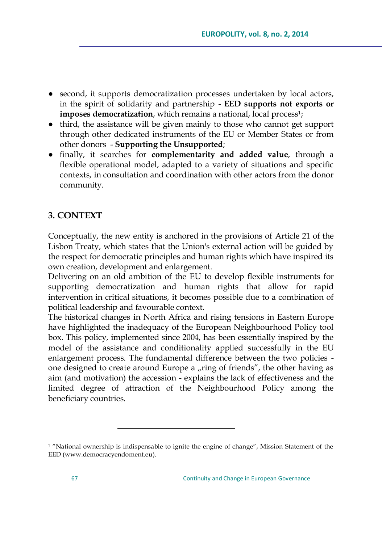- second, it supports democratization processes undertaken by local actors, in the spirit of solidarity and partnership - **EED supports not exports or imposes democratization**, which remains a national, local process<sup>1</sup>;
- third, the assistance will be given mainly to those who cannot get support through other dedicated instruments of the EU or Member States or from other donors - **Supporting the Unsupported**;
- finally, it searches for **complementarity and added value**, through a flexible operational model, adapted to a variety of situations and specific contexts, in consultation and coordination with other actors from the donor community.

# **3. CONTEXT**

Conceptually, the new entity is anchored in the provisions of Article 21 of the Lisbon Treaty, which states that the Union's external action will be guided by the respect for democratic principles and human rights which have inspired its own creation, development and enlargement.

Delivering on an old ambition of the EU to develop flexible instruments for supporting democratization and human rights that allow for rapid intervention in critical situations, it becomes possible due to a combination of political leadership and favourable context.

The historical changes in North Africa and rising tensions in Eastern Europe have highlighted the inadequacy of the European Neighbourhood Policy tool box. This policy, implemented since 2004, has been essentially inspired by the model of the assistance and conditionality applied successfully in the EU enlargement process. The fundamental difference between the two policies one designed to create around Europe a "ring of friends", the other having as aim (and motivation) the accession - explains the lack of effectiveness and the limited degree of attraction of the Neighbourhood Policy among the beneficiary countries.

 $\overline{a}$ 

<sup>&</sup>lt;sup>1</sup> "National ownership is indispensable to ignite the engine of change", Mission Statement of the EED [\(www.democracyendoment.eu\)](http://www.democracyendoment.eu/).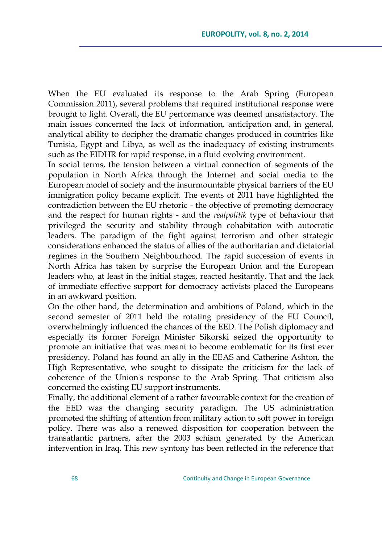When the EU evaluated its response to the Arab Spring (European Commission 2011), several problems that required institutional response were brought to light. Overall, the EU performance was deemed unsatisfactory. The main issues concerned the lack of information, anticipation and, in general, analytical ability to decipher the dramatic changes produced in countries like Tunisia, Egypt and Libya, as well as the inadequacy of existing instruments such as the EIDHR for rapid response, in a fluid evolving environment.

In social terms, the tension between a virtual connection of segments of the population in North Africa through the Internet and social media to the European model of society and the insurmountable physical barriers of the EU immigration policy became explicit. The events of 2011 have highlighted the contradiction between the EU rhetoric - the objective of promoting democracy and the respect for human rights - and the *realpolitik* type of behaviour that privileged the security and stability through cohabitation with autocratic leaders. The paradigm of the fight against terrorism and other strategic considerations enhanced the status of allies of the authoritarian and dictatorial regimes in the Southern Neighbourhood. The rapid succession of events in North Africa has taken by surprise the European Union and the European leaders who, at least in the initial stages, reacted hesitantly. That and the lack of immediate effective support for democracy activists placed the Europeans in an awkward position.

On the other hand, the determination and ambitions of Poland, which in the second semester of 2011 held the rotating presidency of the EU Council, overwhelmingly influenced the chances of the EED. The Polish diplomacy and especially its former Foreign Minister Sikorski seized the opportunity to promote an initiative that was meant to become emblematic for its first ever presidency. Poland has found an ally in the EEAS and Catherine Ashton, the High Representative, who sought to dissipate the criticism for the lack of coherence of the Union's response to the Arab Spring. That criticism also concerned the existing EU support instruments.

Finally, the additional element of a rather favourable context for the creation of the EED was the changing security paradigm. The US administration promoted the shifting of attention from military action to soft power in foreign policy. There was also a renewed disposition for cooperation between the transatlantic partners, after the 2003 schism generated by the American intervention in Iraq. This new syntony has been reflected in the reference that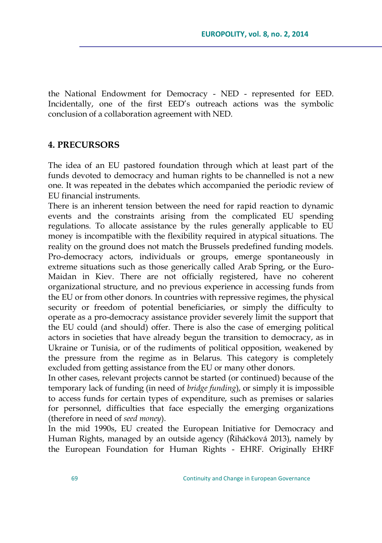the National Endowment for Democracy - NED - represented for EED. Incidentally, one of the first EED's outreach actions was the symbolic conclusion of a collaboration agreement with NED.

#### **4. PRECURSORS**

The idea of an EU pastored foundation through which at least part of the funds devoted to democracy and human rights to be channelled is not a new one. It was repeated in the debates which accompanied the periodic review of EU financial instruments.

There is an inherent tension between the need for rapid reaction to dynamic events and the constraints arising from the complicated EU spending regulations. To allocate assistance by the rules generally applicable to EU money is incompatible with the flexibility required in atypical situations. The reality on the ground does not match the Brussels predefined funding models. Pro-democracy actors, individuals or groups, emerge spontaneously in extreme situations such as those generically called Arab Spring, or the Euro-Maidan in Kiev. There are not officially registered, have no coherent organizational structure, and no previous experience in accessing funds from the EU or from other donors. In countries with repressive regimes, the physical security or freedom of potential beneficiaries, or simply the difficulty to operate as a pro-democracy assistance provider severely limit the support that the EU could (and should) offer. There is also the case of emerging political actors in societies that have already begun the transition to democracy, as in Ukraine or Tunisia, or of the rudiments of political opposition, weakened by the pressure from the regime as in Belarus. This category is completely excluded from getting assistance from the EU or many other donors.

In other cases, relevant projects cannot be started (or continued) because of the temporary lack of funding (in need of *bridge funding*), or simply it is impossible to access funds for certain types of expenditure, such as premises or salaries for personnel, difficulties that face especially the emerging organizations (therefore in need of *seed money*).

In the mid 1990s, EU created the European Initiative for Democracy and Human Rights, managed by an outside agency (Řiháčková 2013), namely by the European Foundation for Human Rights - EHRF. Originally EHRF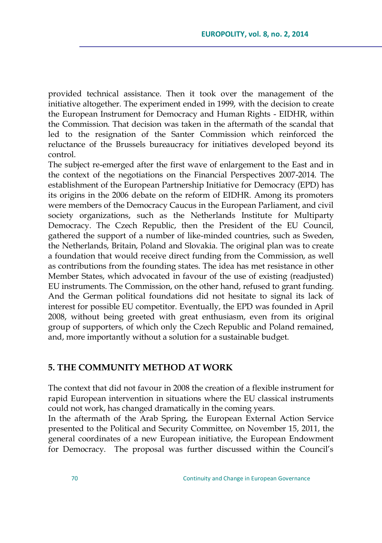provided technical assistance. Then it took over the management of the initiative altogether. The experiment ended in 1999, with the decision to create the European Instrument for Democracy and Human Rights - EIDHR, within the Commission. That decision was taken in the aftermath of the scandal that led to the resignation of the Santer Commission which reinforced the reluctance of the Brussels bureaucracy for initiatives developed beyond its control.

The subject re-emerged after the first wave of enlargement to the East and in the context of the negotiations on the Financial Perspectives 2007-2014. The establishment of the European Partnership Initiative for Democracy (EPD) has its origins in the 2006 debate on the reform of EIDHR. Among its promoters were members of the Democracy Caucus in the European Parliament, and civil society organizations, such as the Netherlands Institute for Multiparty Democracy. The Czech Republic, then the President of the EU Council, gathered the support of a number of like-minded countries, such as Sweden, the Netherlands, Britain, Poland and Slovakia. The original plan was to create a foundation that would receive direct funding from the Commission, as well as contributions from the founding states. The idea has met resistance in other Member States, which advocated in favour of the use of existing (readjusted) EU instruments. The Commission, on the other hand, refused to grant funding. And the German political foundations did not hesitate to signal its lack of interest for possible EU competitor. Eventually, the EPD was founded in April 2008, without being greeted with great enthusiasm, even from its original group of supporters, of which only the Czech Republic and Poland remained, and, more importantly without a solution for a sustainable budget.

#### **5. THE COMMUNITY METHOD AT WORK**

The context that did not favour in 2008 the creation of a flexible instrument for rapid European intervention in situations where the EU classical instruments could not work, has changed dramatically in the coming years.

In the aftermath of the Arab Spring, the European External Action Service presented to the Political and Security Committee, on November 15, 2011, the general coordinates of a new European initiative, the European Endowment for Democracy. The proposal was further discussed within the Council's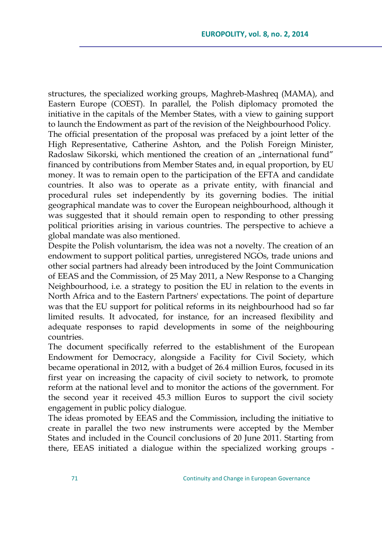structures, the specialized working groups, Maghreb-Mashreq (MAMA), and Eastern Europe (COEST). In parallel, the Polish diplomacy promoted the initiative in the capitals of the Member States, with a view to gaining support to launch the Endowment as part of the revision of the Neighbourhood Policy. The official presentation of the proposal was prefaced by a joint letter of the High Representative, Catherine Ashton, and the Polish Foreign Minister, Radoslaw Sikorski, which mentioned the creation of an "international fund" financed by contributions from Member States and, in equal proportion, by EU money. It was to remain open to the participation of the EFTA and candidate countries. It also was to operate as a private entity, with financial and procedural rules set independently by its governing bodies. The initial geographical mandate was to cover the European neighbourhood, although it was suggested that it should remain open to responding to other pressing political priorities arising in various countries. The perspective to achieve a global mandate was also mentioned.

Despite the Polish voluntarism, the idea was not a novelty. The creation of an endowment to support political parties, unregistered NGOs, trade unions and other social partners had already been introduced by the Joint Communication of EEAS and the Commission, of 25 May 2011, a New Response to a Changing Neighbourhood, i.e. a strategy to position the EU in relation to the events in North Africa and to the Eastern Partners' expectations. The point of departure was that the EU support for political reforms in its neighbourhood had so far limited results. It advocated, for instance, for an increased flexibility and adequate responses to rapid developments in some of the neighbouring countries.

The document specifically referred to the establishment of the European Endowment for Democracy, alongside a Facility for Civil Society, which became operational in 2012, with a budget of 26.4 million Euros, focused in its first year on increasing the capacity of civil society to network, to promote reform at the national level and to monitor the actions of the government. For the second year it received 45.3 million Euros to support the civil society engagement in public policy dialogue.

The ideas promoted by EEAS and the Commission, including the initiative to create in parallel the two new instruments were accepted by the Member States and included in the Council conclusions of 20 June 2011. Starting from there, EEAS initiated a dialogue within the specialized working groups -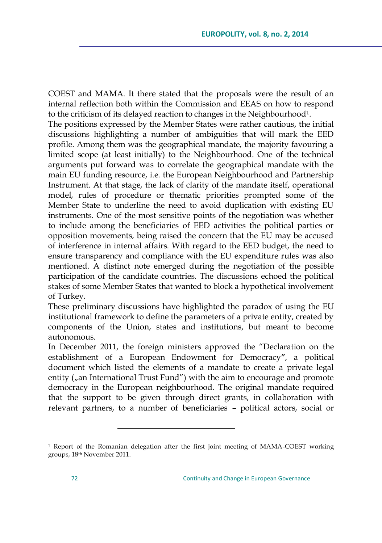COEST and MAMA. It there stated that the proposals were the result of an internal reflection both within the Commission and EEAS on how to respond to the criticism of its delayed reaction to changes in the Neighbourhood<sup>1</sup>.

The positions expressed by the Member States were rather cautious, the initial discussions highlighting a number of ambiguities that will mark the EED profile. Among them was the geographical mandate, the majority favouring a limited scope (at least initially) to the Neighbourhood. One of the technical arguments put forward was to correlate the geographical mandate with the main EU funding resource, i.e. the European Neighbourhood and Partnership Instrument. At that stage, the lack of clarity of the mandate itself, operational model, rules of procedure or thematic priorities prompted some of the Member State to underline the need to avoid duplication with existing EU instruments. One of the most sensitive points of the negotiation was whether to include among the beneficiaries of EED activities the political parties or opposition movements, being raised the concern that the EU may be accused of interference in internal affairs. With regard to the EED budget, the need to ensure transparency and compliance with the EU expenditure rules was also mentioned. A distinct note emerged during the negotiation of the possible participation of the candidate countries. The discussions echoed the political stakes of some Member States that wanted to block a hypothetical involvement of Turkey.

These preliminary discussions have highlighted the paradox of using the EU institutional framework to define the parameters of a private entity, created by components of the Union, states and institutions, but meant to become autonomous.

In December 2011, the foreign ministers approved the "Declaration on the establishment of a European Endowment for Democracy**"**, a political document which listed the elements of a mandate to create a private legal entity  $\binom{n}{n}$  International Trust Fund") with the aim to encourage and promote democracy in the European neighbourhood. The original mandate required that the support to be given through direct grants, in collaboration with relevant partners, to a number of beneficiaries – political actors, social or

 $\overline{a}$ 

<sup>1</sup> Report of the Romanian delegation after the first joint meeting of MAMA-COEST working groups, 18th November 2011.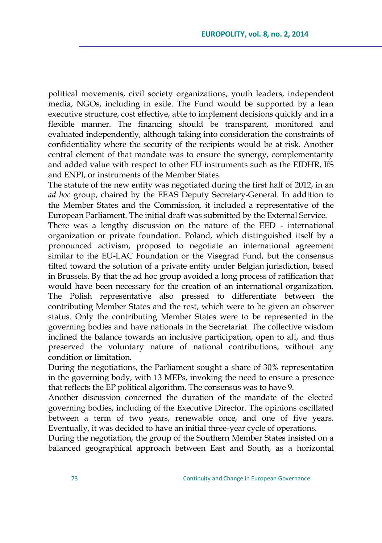political movements, civil society organizations, youth leaders, independent media, NGOs, including in exile. The Fund would be supported by a lean executive structure, cost effective, able to implement decisions quickly and in a flexible manner. The financing should be transparent, monitored and evaluated independently, although taking into consideration the constraints of confidentiality where the security of the recipients would be at risk. Another central element of that mandate was to ensure the synergy, complementarity and added value with respect to other EU instruments such as the EIDHR, IfS and ENPI, or instruments of the Member States.

The statute of the new entity was negotiated during the first half of 2012, in an *ad hoc* group, chaired by the EEAS Deputy Secretary-General. In addition to the Member States and the Commission, it included a representative of the European Parliament. The initial draft was submitted by the External Service.

There was a lengthy discussion on the nature of the EED - international organization or private foundation. Poland, which distinguished itself by a pronounced activism, proposed to negotiate an international agreement similar to the EU-LAC Foundation or the Visegrad Fund, but the consensus tilted toward the solution of a private entity under Belgian jurisdiction, based in Brussels. By that the ad hoc group avoided a long process of ratification that would have been necessary for the creation of an international organization. The Polish representative also pressed to differentiate between the contributing Member States and the rest, which were to be given an observer status. Only the contributing Member States were to be represented in the governing bodies and have nationals in the Secretariat. The collective wisdom inclined the balance towards an inclusive participation, open to all, and thus preserved the voluntary nature of national contributions, without any condition or limitation.

During the negotiations, the Parliament sought a share of 30% representation in the governing body, with 13 MEPs, invoking the need to ensure a presence that reflects the EP political algorithm. The consensus was to have 9.

Another discussion concerned the duration of the mandate of the elected governing bodies, including of the Executive Director. The opinions oscillated between a term of two years, renewable once, and one of five years. Eventually, it was decided to have an initial three-year cycle of operations.

During the negotiation, the group of the Southern Member States insisted on a balanced geographical approach between East and South, as a horizontal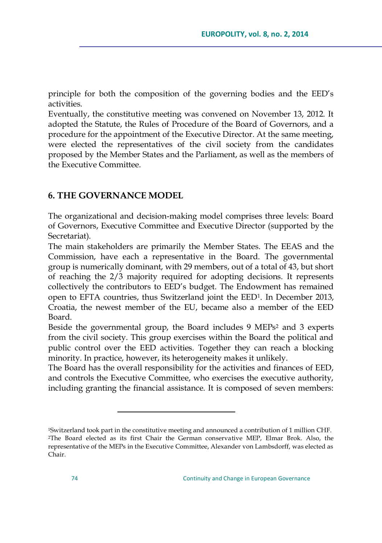principle for both the composition of the governing bodies and the EED's activities.

Eventually, the constitutive meeting was convened on November 13, 2012. It adopted the Statute, the Rules of Procedure of the Board of Governors, and a procedure for the appointment of the Executive Director. At the same meeting, were elected the representatives of the civil society from the candidates proposed by the Member States and the Parliament, as well as the members of the Executive Committee.

### **6. THE GOVERNANCE MODEL**

 $\overline{a}$ 

The organizational and decision-making model comprises three levels: Board of Governors, Executive Committee and Executive Director (supported by the Secretariat).

The main stakeholders are primarily the Member States. The EEAS and the Commission, have each a representative in the Board. The governmental group is numerically dominant, with 29 members, out of a total of 43, but short of reaching the 2/3 majority required for adopting decisions. It represents collectively the contributors to EED's budget. The Endowment has remained open to EFTA countries, thus Switzerland joint the EED1. In December 2013, Croatia, the newest member of the EU, became also a member of the EED Board.

Beside the governmental group, the Board includes 9 MEPs<sup>2</sup> and 3 experts from the civil society. This group exercises within the Board the political and public control over the EED activities. Together they can reach a blocking minority. In practice, however, its heterogeneity makes it unlikely.

The Board has the overall responsibility for the activities and finances of EED, and controls the Executive Committee, who exercises the executive authority, including granting the financial assistance. It is composed of seven members:

<sup>1</sup>Switzerland took part in the constitutive meeting and announced a contribution of 1 million CHF. <sup>2</sup>The Board elected as its first Chair the German conservative MEP, Elmar Brok. Also, the representative of the MEPs in the Executive Committee, Alexander von Lambsdorff, was elected as Chair.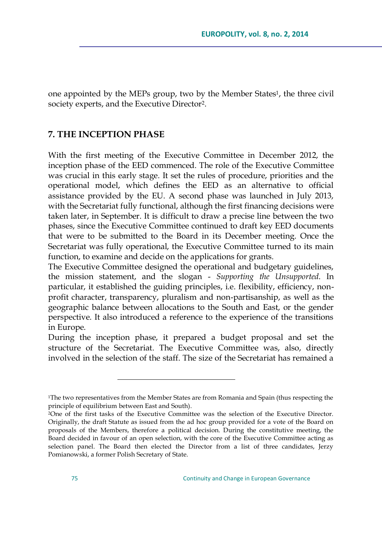one appointed by the MEPs group, two by the Member States<sup>1</sup>, the three civil society experts, and the Executive Director<sup>2</sup>.

#### **7. THE INCEPTION PHASE**

 $\overline{a}$ 

With the first meeting of the Executive Committee in December 2012, the inception phase of the EED commenced. The role of the Executive Committee was crucial in this early stage. It set the rules of procedure, priorities and the operational model, which defines the EED as an alternative to official assistance provided by the EU. A second phase was launched in July 2013, with the Secretariat fully functional, although the first financing decisions were taken later, in September. It is difficult to draw a precise line between the two phases, since the Executive Committee continued to draft key EED documents that were to be submitted to the Board in its December meeting. Once the Secretariat was fully operational, the Executive Committee turned to its main function, to examine and decide on the applications for grants.

The Executive Committee designed the operational and budgetary guidelines, the mission statement, and the slogan - *Supporting the Unsupported*. In particular, it established the guiding principles, i.e. flexibility, efficiency, nonprofit character, transparency, pluralism and non-partisanship, as well as the geographic balance between allocations to the South and East, or the gender perspective. It also introduced a reference to the experience of the transitions in Europe.

During the inception phase, it prepared a budget proposal and set the structure of the Secretariat. The Executive Committee was, also, directly involved in the selection of the staff. The size of the Secretariat has remained a

<sup>1</sup>The two representatives from the Member States are from Romania and Spain (thus respecting the principle of equilibrium between East and South).

<sup>2</sup>One of the first tasks of the Executive Committee was the selection of the Executive Director. Originally, the draft Statute as issued from the ad hoc group provided for a vote of the Board on proposals of the Members, therefore a political decision. During the constitutive meeting, the Board decided in favour of an open selection, with the core of the Executive Committee acting as selection panel. The Board then elected the Director from a list of three candidates, Jerzy Pomianowski, a former Polish Secretary of State.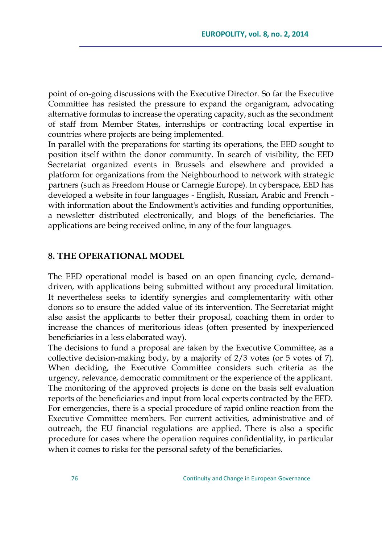point of on-going discussions with the Executive Director. So far the Executive Committee has resisted the pressure to expand the organigram, advocating alternative formulas to increase the operating capacity, such as the secondment of staff from Member States, internships or contracting local expertise in countries where projects are being implemented.

In parallel with the preparations for starting its operations, the EED sought to position itself within the donor community. In search of visibility, the EED Secretariat organized events in Brussels and elsewhere and provided a platform for organizations from the Neighbourhood to network with strategic partners (such as Freedom House or Carnegie Europe). In cyberspace, EED has developed a website in four languages - English, Russian, Arabic and French with information about the Endowment's activities and funding opportunities, a newsletter distributed electronically, and blogs of the beneficiaries. The applications are being received online, in any of the four languages.

#### **8. THE OPERATIONAL MODEL**

The EED operational model is based on an open financing cycle, demanddriven, with applications being submitted without any procedural limitation. It nevertheless seeks to identify synergies and complementarity with other donors so to ensure the added value of its intervention. The Secretariat might also assist the applicants to better their proposal, coaching them in order to increase the chances of meritorious ideas (often presented by inexperienced beneficiaries in a less elaborated way).

The decisions to fund a proposal are taken by the Executive Committee, as a collective decision-making body, by a majority of 2/3 votes (or 5 votes of 7). When deciding, the Executive Committee considers such criteria as the urgency, relevance, democratic commitment or the experience of the applicant. The monitoring of the approved projects is done on the basis self evaluation reports of the beneficiaries and input from local experts contracted by the EED. For emergencies, there is a special procedure of rapid online reaction from the Executive Committee members. For current activities, administrative and of outreach, the EU financial regulations are applied. There is also a specific procedure for cases where the operation requires confidentiality, in particular when it comes to risks for the personal safety of the beneficiaries.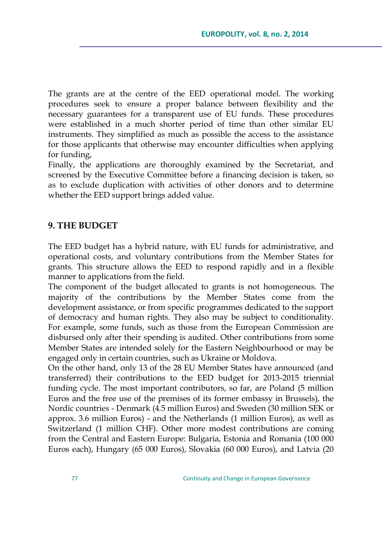The grants are at the centre of the EED operational model. The working procedures seek to ensure a proper balance between flexibility and the necessary guarantees for a transparent use of EU funds. These procedures were established in a much shorter period of time than other similar EU instruments. They simplified as much as possible the access to the assistance for those applicants that otherwise may encounter difficulties when applying for funding,

Finally, the applications are thoroughly examined by the Secretariat, and screened by the Executive Committee before a financing decision is taken, so as to exclude duplication with activities of other donors and to determine whether the EED support brings added value.

#### **9. THE BUDGET**

The EED budget has a hybrid nature, with EU funds for administrative, and operational costs, and voluntary contributions from the Member States for grants. This structure allows the EED to respond rapidly and in a flexible manner to applications from the field.

The component of the budget allocated to grants is not homogeneous. The majority of the contributions by the Member States come from the development assistance, or from specific programmes dedicated to the support of democracy and human rights. They also may be subject to conditionality. For example, some funds, such as those from the European Commission are disbursed only after their spending is audited. Other contributions from some Member States are intended solely for the Eastern Neighbourhood or may be engaged only in certain countries, such as Ukraine or Moldova.

On the other hand, only 13 of the 28 EU Member States have announced (and transferred) their contributions to the EED budget for 2013-2015 triennial funding cycle. The most important contributors, so far, are Poland (5 million Euros and the free use of the premises of its former embassy in Brussels), the Nordic countries - Denmark (4.5 million Euros) and Sweden (30 million SEK or approx. 3.6 million Euros) - and the Netherlands (1 million Euros), as well as Switzerland (1 million CHF). Other more modest contributions are coming from the Central and Eastern Europe: Bulgaria, Estonia and Romania (100 000 Euros each), Hungary (65 000 Euros), Slovakia (60 000 Euros), and Latvia (20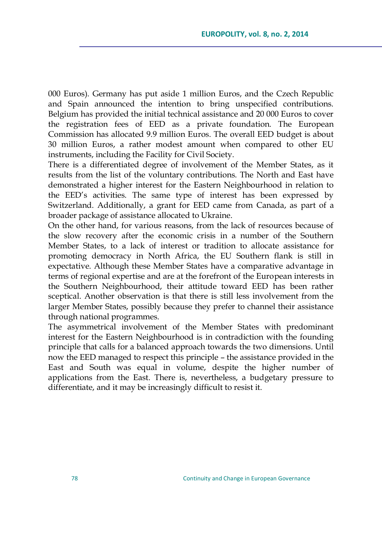000 Euros). Germany has put aside 1 million Euros, and the Czech Republic and Spain announced the intention to bring unspecified contributions. Belgium has provided the initial technical assistance and 20 000 Euros to cover the registration fees of EED as a private foundation. The European Commission has allocated 9.9 million Euros. The overall EED budget is about 30 million Euros, a rather modest amount when compared to other EU instruments, including the Facility for Civil Society.

There is a differentiated degree of involvement of the Member States, as it results from the list of the voluntary contributions. The North and East have demonstrated a higher interest for the Eastern Neighbourhood in relation to the EED's activities. The same type of interest has been expressed by Switzerland. Additionally, a grant for EED came from Canada, as part of a broader package of assistance allocated to Ukraine.

On the other hand, for various reasons, from the lack of resources because of the slow recovery after the economic crisis in a number of the Southern Member States, to a lack of interest or tradition to allocate assistance for promoting democracy in North Africa, the EU Southern flank is still in expectative. Although these Member States have a comparative advantage in terms of regional expertise and are at the forefront of the European interests in the Southern Neighbourhood, their attitude toward EED has been rather sceptical. Another observation is that there is still less involvement from the larger Member States, possibly because they prefer to channel their assistance through national programmes.

The asymmetrical involvement of the Member States with predominant interest for the Eastern Neighbourhood is in contradiction with the founding principle that calls for a balanced approach towards the two dimensions. Until now the EED managed to respect this principle – the assistance provided in the East and South was equal in volume, despite the higher number of applications from the East. There is, nevertheless, a budgetary pressure to differentiate, and it may be increasingly difficult to resist it.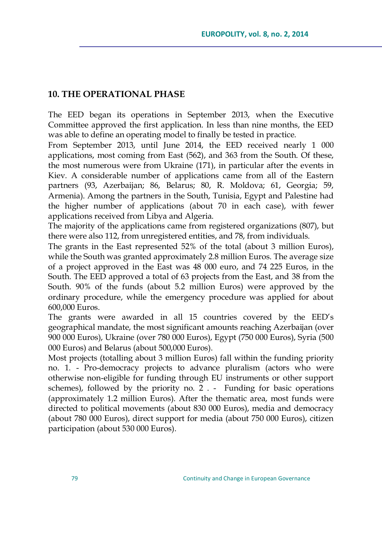## **10. THE OPERATIONAL PHASE**

The EED began its operations in September 2013, when the Executive Committee approved the first application. In less than nine months, the EED was able to define an operating model to finally be tested in practice.

From September 2013, until June 2014, the EED received nearly 1 000 applications, most coming from East (562), and 363 from the South. Of these, the most numerous were from Ukraine (171), in particular after the events in Kiev. A considerable number of applications came from all of the Eastern partners (93, Azerbaijan; 86, Belarus; 80, R. Moldova; 61, Georgia; 59, Armenia). Among the partners in the South, Tunisia, Egypt and Palestine had the higher number of applications (about 70 in each case), with fewer applications received from Libya and Algeria.

The majority of the applications came from registered organizations (807), but there were also 112, from unregistered entities, and 78, from individuals.

The grants in the East represented 52% of the total (about 3 million Euros), while the South was granted approximately 2.8 million Euros. The average size of a project approved in the East was 48 000 euro, and 74 225 Euros, in the South. The EED approved a total of 63 projects from the East, and 38 from the South. 90% of the funds (about 5.2 million Euros) were approved by the ordinary procedure, while the emergency procedure was applied for about 600,000 Euros.

The grants were awarded in all 15 countries covered by the EED's geographical mandate, the most significant amounts reaching Azerbaijan (over 900 000 Euros), Ukraine (over 780 000 Euros), Egypt (750 000 Euros), Syria (500 000 Euros) and Belarus (about 500,000 Euros).

Most projects (totalling about 3 million Euros) fall within the funding priority no. 1. - Pro-democracy projects to advance pluralism (actors who were otherwise non-eligible for funding through EU instruments or other support schemes), followed by the priority no. 2 . - Funding for basic operations (approximately 1.2 million Euros). After the thematic area, most funds were directed to political movements (about 830 000 Euros), media and democracy (about 780 000 Euros), direct support for media (about 750 000 Euros), citizen participation (about 530 000 Euros).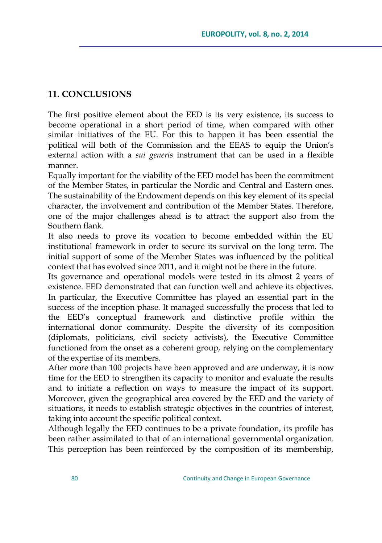## **11. CONCLUSIONS**

The first positive element about the EED is its very existence, its success to become operational in a short period of time, when compared with other similar initiatives of the EU. For this to happen it has been essential the political will both of the Commission and the EEAS to equip the Union's external action with a *sui generis* instrument that can be used in a flexible manner.

Equally important for the viability of the EED model has been the commitment of the Member States, in particular the Nordic and Central and Eastern ones. The sustainability of the Endowment depends on this key element of its special character, the involvement and contribution of the Member States. Therefore, one of the major challenges ahead is to attract the support also from the Southern flank.

It also needs to prove its vocation to become embedded within the EU institutional framework in order to secure its survival on the long term. The initial support of some of the Member States was influenced by the political context that has evolved since 2011, and it might not be there in the future.

Its governance and operational models were tested in its almost 2 years of existence. EED demonstrated that can function well and achieve its objectives. In particular, the Executive Committee has played an essential part in the success of the inception phase. It managed successfully the process that led to the EED's conceptual framework and distinctive profile within the international donor community. Despite the diversity of its composition (diplomats, politicians, civil society activists), the Executive Committee functioned from the onset as a coherent group, relying on the complementary of the expertise of its members.

After more than 100 projects have been approved and are underway, it is now time for the EED to strengthen its capacity to monitor and evaluate the results and to initiate a reflection on ways to measure the impact of its support. Moreover, given the geographical area covered by the EED and the variety of situations, it needs to establish strategic objectives in the countries of interest, taking into account the specific political context.

Although legally the EED continues to be a private foundation, its profile has been rather assimilated to that of an international governmental organization. This perception has been reinforced by the composition of its membership,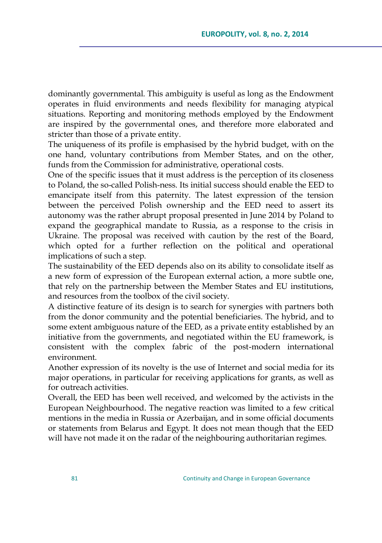dominantly governmental. This ambiguity is useful as long as the Endowment operates in fluid environments and needs flexibility for managing atypical situations. Reporting and monitoring methods employed by the Endowment are inspired by the governmental ones, and therefore more elaborated and stricter than those of a private entity.

The uniqueness of its profile is emphasised by the hybrid budget, with on the one hand, voluntary contributions from Member States, and on the other, funds from the Commission for administrative, operational costs.

One of the specific issues that it must address is the perception of its closeness to Poland, the so-called Polish-ness. Its initial success should enable the EED to emancipate itself from this paternity. The latest expression of the tension between the perceived Polish ownership and the EED need to assert its autonomy was the rather abrupt proposal presented in June 2014 by Poland to expand the geographical mandate to Russia, as a response to the crisis in Ukraine. The proposal was received with caution by the rest of the Board, which opted for a further reflection on the political and operational implications of such a step.

The sustainability of the EED depends also on its ability to consolidate itself as a new form of expression of the European external action, a more subtle one, that rely on the partnership between the Member States and EU institutions, and resources from the toolbox of the civil society.

A distinctive feature of its design is to search for synergies with partners both from the donor community and the potential beneficiaries. The hybrid, and to some extent ambiguous nature of the EED, as a private entity established by an initiative from the governments, and negotiated within the EU framework, is consistent with the complex fabric of the post-modern international environment.

Another expression of its novelty is the use of Internet and social media for its major operations, in particular for receiving applications for grants, as well as for outreach activities.

Overall, the EED has been well received, and welcomed by the activists in the European Neighbourhood. The negative reaction was limited to a few critical mentions in the media in Russia or Azerbaijan, and in some official documents or statements from Belarus and Egypt. It does not mean though that the EED will have not made it on the radar of the neighbouring authoritarian regimes.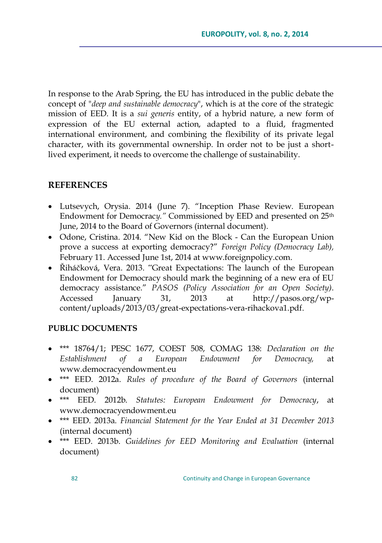In response to the Arab Spring, the EU has introduced in the public debate the concept of "*deep and sustainable democracy*", which is at the core of the strategic mission of EED. It is a *sui generis* entity, of a hybrid nature, a new form of expression of the EU external action, adapted to a fluid, fragmented international environment, and combining the flexibility of its private legal character, with its governmental ownership. In order not to be just a shortlived experiment, it needs to overcome the challenge of sustainability.

## **REFERENCES**

- Lutsevych, Orysia. 2014 (June 7). "Inception Phase Review. European Endowment for Democrac*y."* Commissioned by EED and presented on 25th June, 2014 to the Board of Governors (internal document).
- Odone, Cristina. 2014. "New Kid on the Block Can the European Union prove a success at exporting democracy?" *Foreign Policy (Democracy Lab)*, February 11. Accessed June 1st, 2014 a[t www.foreignpolicy.com.](http://www.foreignpolicy.com/)
- Řiháčková, Vera. 2013. "Great Expectations: The launch of the European Endowment for Democracy should mark the beginning of a new era of EU democracy assistance.‖ *PASOS (Policy Association for an Open Society)*. Accessed January 31, 2013 at [http://pasos.org/wp](http://pasos.org/wp-content/uploads/2013/03/great-expectations-vera-rihackova1.pdf)[content/uploads/2013/03/great-expectations-vera-rihackova1.pdf.](http://pasos.org/wp-content/uploads/2013/03/great-expectations-vera-rihackova1.pdf)

### **PUBLIC DOCUMENTS**

- \*\*\* 18764/1; PESC 1677, COEST 508, COMAG 138: *Declaration on the Establishment of a European Endowment for Democracy,* at [www.democracyendowment.eu](http://www.democracyendowment.eu/)
- \*\*\* EED. 2012a. *Rules of procedure of the Board of Governors* (internal document)
- \*\*\* EED. 2012b. *Statutes: European Endowment for Democracy*, at [www.democracyendowment.eu](http://www.democracyendowment.eu/)
- \*\*\* EED. 2013a. *Financial Statement for the Year Ended at 31 December 2013* (internal document)
- \*\*\* EED. 2013b. *Guidelines for EED Monitoring and Evaluation* (internal document)